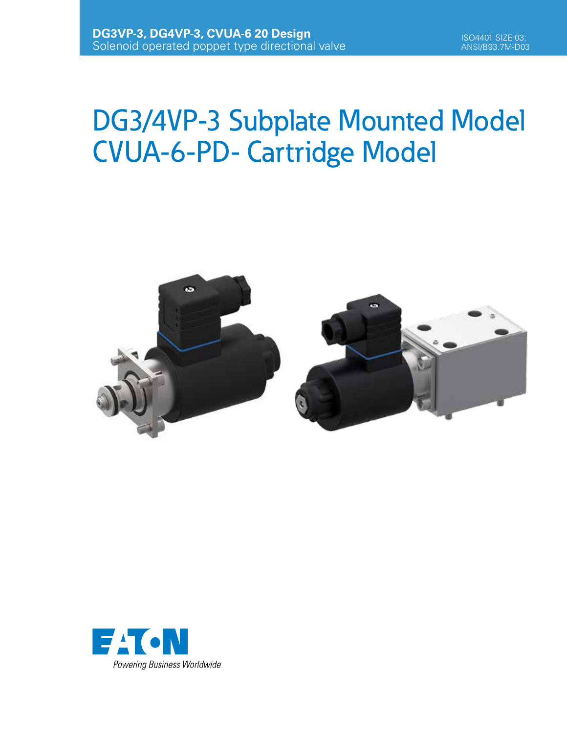# DG3/4VP-3 Subplate Mounted Model CVUA-6-PD- Cartridge Model



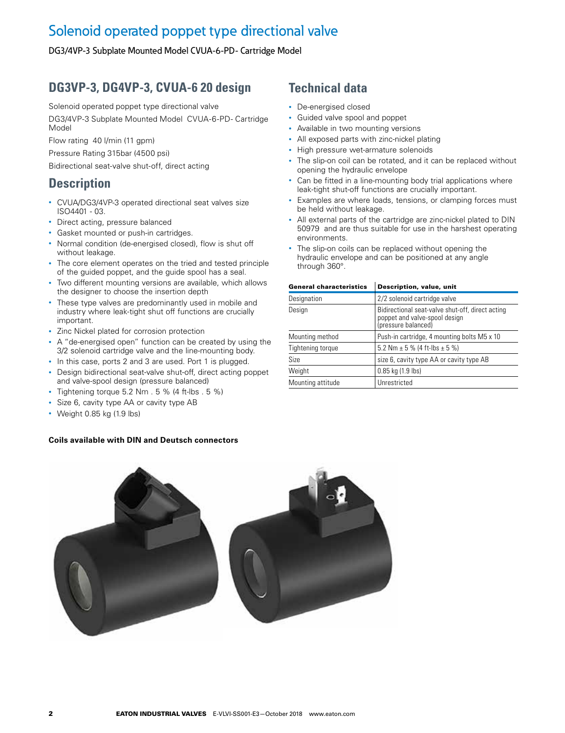### Solenoid operated poppet type directional valve

DG3/4VP-3 Subplate Mounted Model CVUA-6-PD- Cartridge Model

### **DG3VP-3, DG4VP-3, CVUA-6 20 design**

Solenoid operated poppet type directional valve

DG3/4VP-3 Subplate Mounted Model CVUA-6-PD- Cartridge Model

Flow rating 40 l/min (11 gpm)

Pressure Rating 315bar (4500 psi)

Bidirectional seat-valve shut-off, direct acting

### **Description**

- CVUA/DG3/4VP-3 operated directional seat valves size ISO4401 - 03.
- Direct acting, pressure balanced
- Gasket mounted or push-in cartridges.
- Normal condition (de-energised closed), flow is shut off without leakage.
- The core element operates on the tried and tested principle of the guided poppet, and the guide spool has a seal.
- Two different mounting versions are available, which allows the designer to choose the insertion depth
- These type valves are predominantly used in mobile and industry where leak-tight shut off functions are crucially important.
- Zinc Nickel plated for corrosion protection
- A "de-energised open" function can be created by using the 3/2 solenoid cartridge valve and the line-mounting body.
- In this case, ports 2 and 3 are used. Port 1 is plugged.
- Design bidirectional seat-valve shut-off, direct acting poppet and valve-spool design (pressure balanced)
- Tightening torque 5.2 Nm . 5 % (4 ft-lbs . 5 %)
- Size 6, cavity type AA or cavity type AB
- Weight 0.85 kg (1.9 lbs)

#### **Coils available with DIN and Deutsch connectors**

### **Technical data**

- De-energised closed
- Guided valve spool and poppet
- Available in two mounting versions
- All exposed parts with zinc-nickel plating
- High pressure wet-armature solenoids
- The slip-on coil can be rotated, and it can be replaced without opening the hydraulic envelope
- Can be fitted in a line-mounting body trial applications where leak-tight shut-off functions are crucially important.
- Examples are where loads, tensions, or clamping forces must be held without leakage.
- All external parts of the cartridge are zinc-nickel plated to DIN 50979 and are thus suitable for use in the harshest operating environments.
- The slip-on coils can be replaced without opening the hydraulic envelope and can be positioned at any angle through 360°.

| <b>General characteristics</b> | Description, value, unit                                                                                 |
|--------------------------------|----------------------------------------------------------------------------------------------------------|
| Designation                    | 2/2 solenoid cartridge valve                                                                             |
| Design                         | Bidirectional seat-valve shut-off, direct acting<br>poppet and valve-spool design<br>(pressure balanced) |
| Mounting method                | Push-in cartridge, 4 mounting bolts M5 x 10                                                              |
| Tightening torque              | 5.2 Nm $\pm$ 5 % (4 ft-lbs $\pm$ 5 %)                                                                    |
| Size                           | size 6, cavity type AA or cavity type AB                                                                 |
| Weight                         | $0.85$ kg $(1.9$ lbs)                                                                                    |
| Mounting attitude              | Unrestricted                                                                                             |

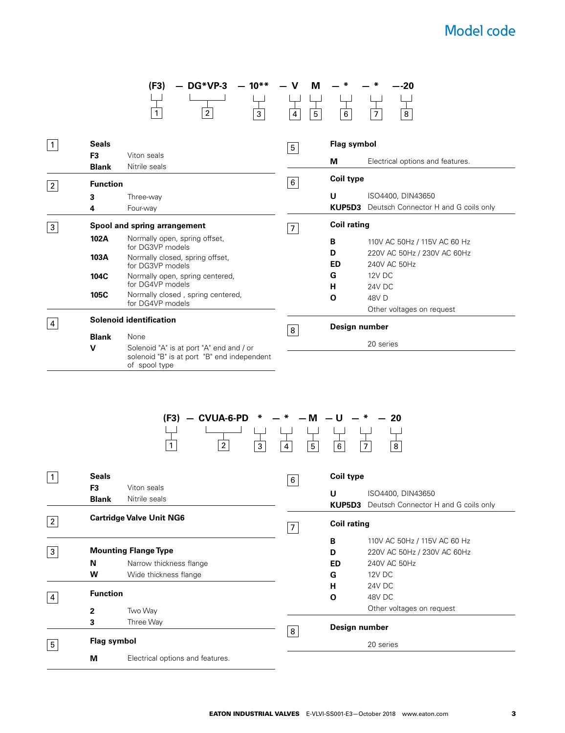## Model code

|                |                              | DG*VP-3<br>$-10**$<br>(F3)                                   | ν<br>M                       | $-20$                                       |
|----------------|------------------------------|--------------------------------------------------------------|------------------------------|---------------------------------------------|
|                |                              |                                                              |                              |                                             |
|                |                              | $\boldsymbol{2}$<br>$\mathbf{1}$<br>$\mathbf{3}$             | $5\phantom{.0}$<br>4         | 6 <sup>1</sup><br>8<br>$\overline{7}$       |
|                | <b>Seals</b>                 |                                                              |                              | <b>Flag symbol</b>                          |
| $\mathbf{1}$   | F <sub>3</sub>               | Viton seals                                                  | $5\overline{)}$              |                                             |
|                | <b>Blank</b>                 | Nitrile seals                                                |                              | M<br>Electrical options and features.       |
| $\overline{2}$ | <b>Function</b>              |                                                              | $\,6\,$                      | <b>Coil type</b>                            |
|                | 3                            | Three-way                                                    |                              | U<br>ISO4400, DIN43650                      |
|                | $\overline{\mathbf{4}}$      | Four-way                                                     |                              | KUP5D3 Deutsch Connector H and G coils only |
| $\mathbf{3}$   | Spool and spring arrangement |                                                              | $\overline{7}$               | <b>Coil rating</b>                          |
|                | 102A                         | Normally open, spring offset,                                |                              | B<br>110V AC 50Hz / 115V AC 60 Hz           |
|                | 103A                         | for DG3VP models<br>Normally closed, spring offset,          |                              | D<br>220V AC 50Hz / 230V AC 60Hz            |
|                |                              | for DG3VP models                                             |                              | <b>ED</b><br>240V AC 50Hz                   |
|                | 104C                         | Normally open, spring centered,                              |                              | <b>12V DC</b><br>G                          |
|                | 105C                         | for DG4VP models<br>Normally closed, spring centered,        |                              | н<br>24V DC                                 |
|                |                              | for DG4VP models                                             |                              | O<br>48V D<br>Other voltages on request     |
| $\overline{4}$ |                              | <b>Solenoid identification</b>                               |                              |                                             |
|                | <b>Blank</b>                 | None                                                         | $\overline{8}$               | Design number                               |
|                | $\mathbf v$                  | Solenoid "A" is at port "A" end and / or                     |                              | 20 series                                   |
|                |                              | solenoid "B" is at port "B" end independent<br>of spool type |                              |                                             |
|                |                              |                                                              |                              |                                             |
|                |                              |                                                              |                              |                                             |
|                |                              |                                                              |                              |                                             |
|                |                              | $(F3) - C VUA-6-PD$<br>∗                                     | М                            | U<br>20                                     |
|                |                              |                                                              |                              |                                             |
|                |                              |                                                              |                              |                                             |
|                |                              | $\overline{2}$<br>$\mathbf{1}$<br>$\overline{3}$             | $\overline{\mathbf{4}}$<br>5 | $\overline{8}$<br>6                         |
| $\mathbf{1}$   | <b>Seals</b>                 |                                                              |                              | Coil type                                   |
|                | F <sub>3</sub>               | Viton seals                                                  | $\,6\,$                      |                                             |

| 1              | <b>Seals</b>                    |                                  | 6              | Coil type          |                                                                  |
|----------------|---------------------------------|----------------------------------|----------------|--------------------|------------------------------------------------------------------|
|                | F <sub>3</sub><br><b>Blank</b>  | Viton seals<br>Nitrile seals     |                | U                  | ISO4400, DIN43650<br>KUP5D3 Deutsch Connector H and G coils only |
| $\overline{2}$ | <b>Cartridge Valve Unit NG6</b> |                                  | $\overline{7}$ | <b>Coil rating</b> |                                                                  |
|                |                                 |                                  |                | B                  | 110V AC 50Hz / 115V AC 60 Hz                                     |
| 3              |                                 | <b>Mounting Flange Type</b>      |                | D                  | 220V AC 50Hz / 230V AC 60Hz                                      |
|                | N                               | Narrow thickness flange          |                | ED                 | 240V AC 50Hz                                                     |
|                | W                               | Wide thickness flange            |                | G                  | 12V DC                                                           |
|                |                                 |                                  |                | н                  | 24V DC                                                           |
| 4              | <b>Function</b>                 |                                  |                | $\mathbf 0$        | 48V DC                                                           |
|                | $\mathbf{2}$                    | Two Way                          |                |                    | Other voltages on request                                        |
|                | 3                               | Three Way                        | 8              | Design number      |                                                                  |
| 5              | Flag symbol                     |                                  |                |                    | 20 series                                                        |
|                | M                               | Electrical options and features. |                |                    |                                                                  |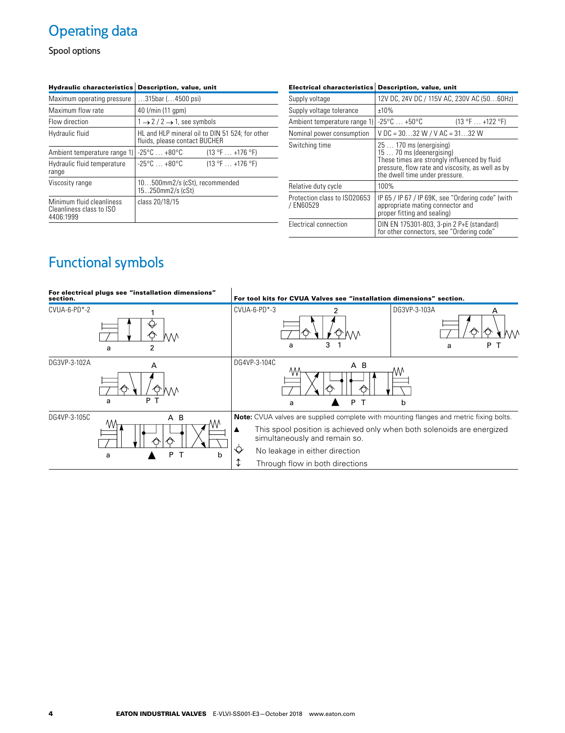## Operating data

Spool options

| <b>Hydraulic characteristics</b>                                   | Description, value, unit                                                          |
|--------------------------------------------------------------------|-----------------------------------------------------------------------------------|
| Maximum operating pressure                                         | $315$ bar ( $4500$ psi)                                                           |
| Maximum flow rate                                                  | 40 l/min (11 gpm)                                                                 |
| Flow direction                                                     | $1 \rightarrow 2 / 2 \rightarrow 1$ , see symbols                                 |
| Hydraulic fluid                                                    | HL and HLP mineral oil to DIN 51 524; for other<br>fluids, please contact BUCHER  |
| Ambient temperature range 1)                                       | $-25^{\circ}$ C $\ldots +80^{\circ}$ C<br>$(13 \text{ °F} \dots +176 \text{ °F})$ |
| Hydraulic fluid temperature<br>range                               | $-25^{\circ}$ C $+80^{\circ}$ C<br>$(13 \text{ °F} \dots +176 \text{ °F})$        |
| Viscosity range                                                    | 10500mm2/s (cSt), recommended<br>15250mm2/s (cSt)                                 |
| Minimum fluid cleanliness<br>Cleanliness class to ISO<br>4406:1999 | class 20/18/15                                                                    |

| <b>Electrical characteristics</b>         | <b>Description, value, unit</b>                                                                                                                                                           |
|-------------------------------------------|-------------------------------------------------------------------------------------------------------------------------------------------------------------------------------------------|
| Supply voltage                            | 12V DC, 24V DC / 115V AC, 230V AC (5060Hz)                                                                                                                                                |
| Supply voltage tolerance                  | ±10%                                                                                                                                                                                      |
| Ambient temperature range 1)              | $-25^{\circ}$ C $+50^{\circ}$ C<br>$(13 \text{ °F} \dots +122 \text{ °F})$                                                                                                                |
| Nominal power consumption                 | $VDC = 3032 W / VAC = 3132 W$                                                                                                                                                             |
| Switching time                            | $25170$ ms (energising)<br>15  70 ms (deenergising)<br>These times are strongly influenced by fluid<br>pressure, flow rate and viscosity, as well as by<br>the dwell time under pressure. |
| Relative duty cycle                       | 100%                                                                                                                                                                                      |
| Protection class to ISO20653<br>/ EN60529 | IP 65 / IP 67 / IP 69K, see "Ordering code" (with<br>appropriate mating connector and<br>proper fitting and sealing)                                                                      |
| Electrical connection                     | DIN EN 175301-803, 3-pin 2 P+E (standard)<br>for other connectors, see "Ordering code"                                                                                                    |

## Functional symbols

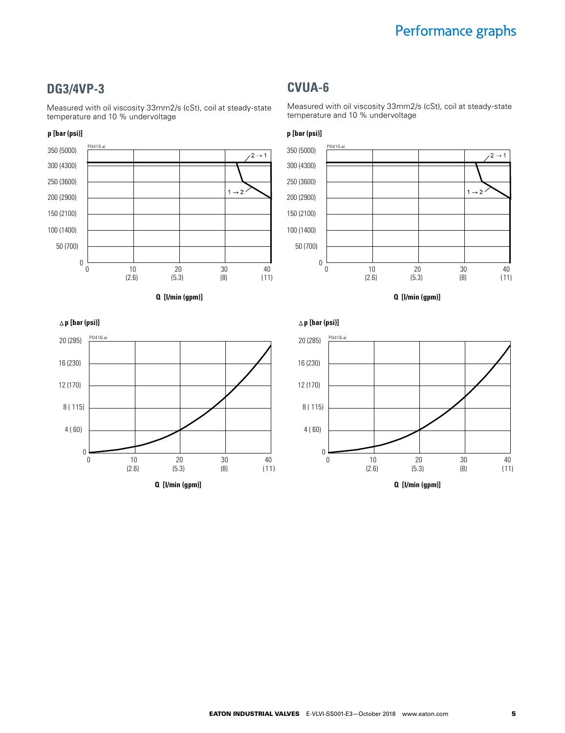### **DG3/4VP-3**

Measured with oil viscosity 33mm2/s (cSt), coil at steady-state temperature and 10 % undervoltage

#### **p [bar (psi)]**







Measured with oil viscosity 33mm2/s (cSt), coil at steady-state temperature and 10 % undervoltage



**Q [l/min (gpm)]**



**p [bar (psi)]**

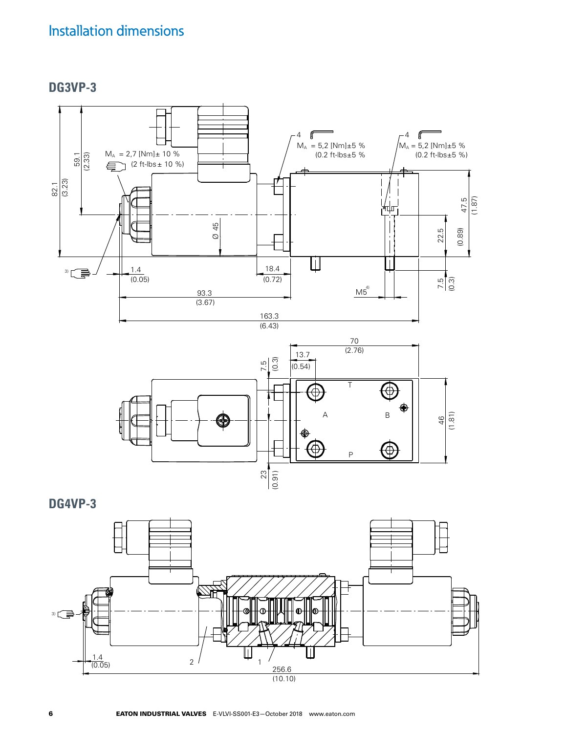### Installation dimensions

**DG3VP-3**



**DG4VP-3**

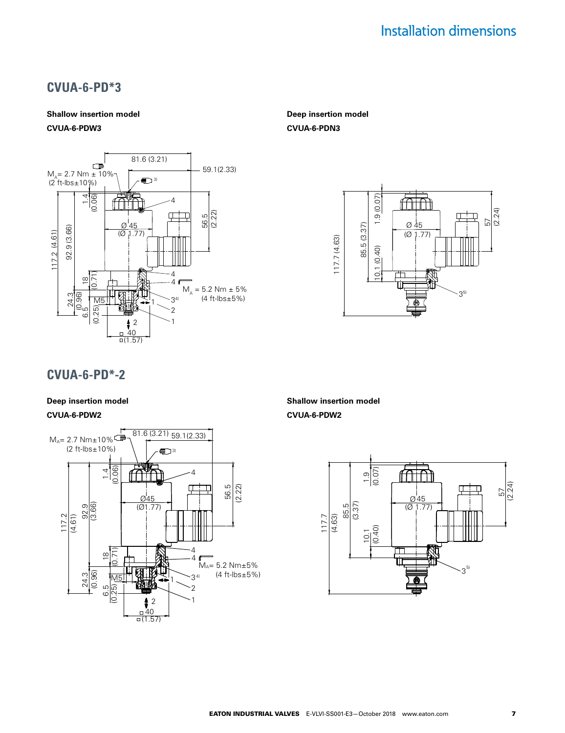### **CVUA-6-PD\*3**

### **Shallow insertion model**

### **CVUA-6-PDW3**



#### **Deep insertion model CVUA-6-PDN3**



### **CVUA-6-PD\*-2**

#### **Deep insertion model CVUA-6-PDW2**



**Shallow insertion model CVUA-6-PDW2**

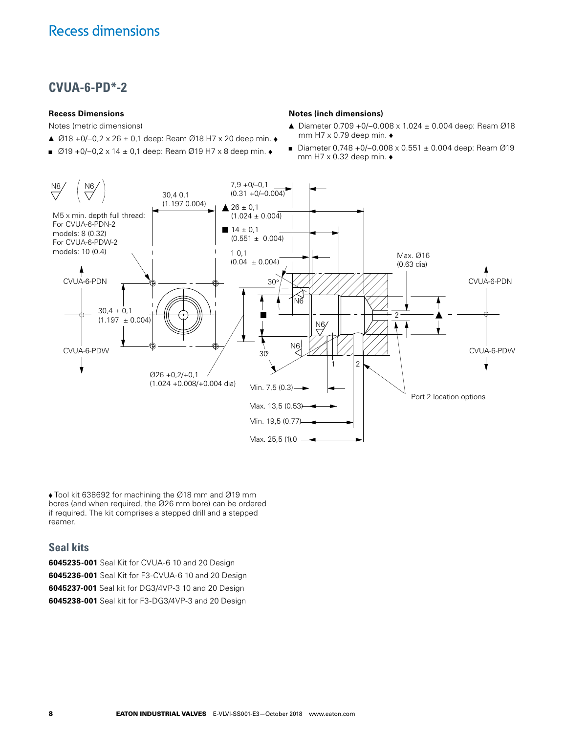### **CVUA-6-PD\*-2**

#### **Recess Dimensions**

Notes (metric dimensions)

- ▲  $\varnothing$ 18 +0/-0,2 x 26 ± 0,1 deep: Ream  $\varnothing$ 18 H7 x 20 deep min. ◆
- $Ø19 + O/-0.2 \times 14 \pm 0.1$  deep: Ream Ø19 H7 x 8 deep min. ◆

#### **Notes (inch dimensions)**

- ▲ Diameter 0.709 +0/–0.008 x 1.024 ± 0.004 deep: Ream Ø18 mm H7  $\times$  0.79 deep min.  $\bullet$
- Diameter 0.748 +0/-0.008 x 0.551 ± 0.004 deep: Ream Ø19 mm H7  $\times$  0.32 deep min.  $\bullet$



Tool kit 638692 for machining the Ø18 mm and Ø19 mm bores (and when required, the Ø26 mm bore) can be ordered if required. The kit comprises a stepped drill and a stepped reamer.

### **Seal kits**

**6045235-001** Seal Kit for CVUA-6 10 and 20 Design **6045236-001** Seal Kit for F3-CVUA-6 10 and 20 Design **6045237-001** Seal kit for DG3/4VP-3 10 and 20 Design **6045238-001** Seal kit for F3-DG3/4VP-3 and 20 Design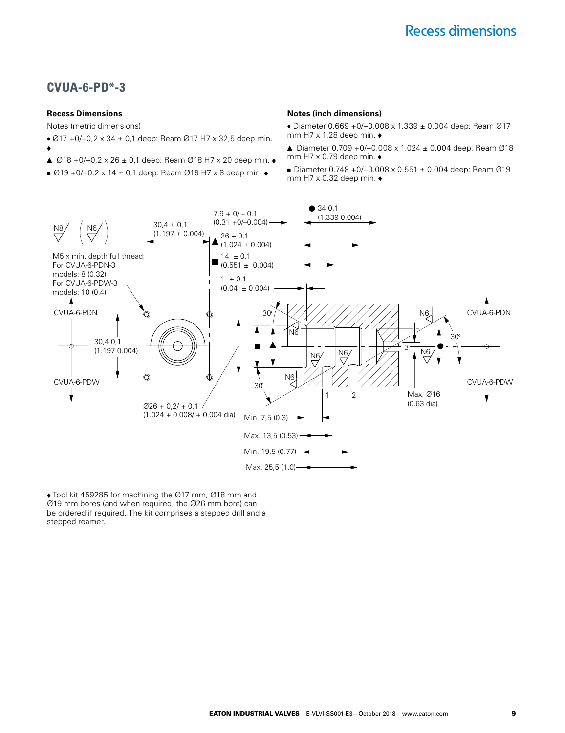### **CVUA-6-PD\*-3**

#### **Recess Dimensions**

۸

Notes (metric dimensions)

- Ø17 + 0/- 0, 2 x 34 ± 0, 1 deep: Ream Ø17 H7 x 32, 5 deep min.
- ▲ Ø18 + 0/ 0, 2 x 26 ± 0, 1 deep: Ream Ø18 H7 x 20 deep min. ◆
- $\Box$  Ø19 + 0/-0, 2 x 14 ± 0,1 deep: Ream Ø19 H7 x 8 deep min.  $\bullet$

#### **Notes (inch dimensions)**

- Diameter 0.669 +0/–0.008 x 1.339 ± 0.004 deep: Ream Ø17 mm H7  $\times$  1.28 deep min.  $\bullet$
- ▲ Diameter 0.709 +0/–0.008 x 1.024 ± 0.004 deep: Ream Ø18 mm H7  $\times$  0.79 deep min.  $\bullet$
- Diameter 0.748 +0/-0.008 x 0.551 ± 0.004 deep: Ream Ø19 mm H7  $\times$  0.32 deep min.  $\bullet$



Tool kit 459285 for machining the Ø17 mm, Ø18 mm and Ø19 mm bores (and when required, the Ø26 mm bore) can be ordered if required. The kit comprises a stepped drill and a stepped reamer.